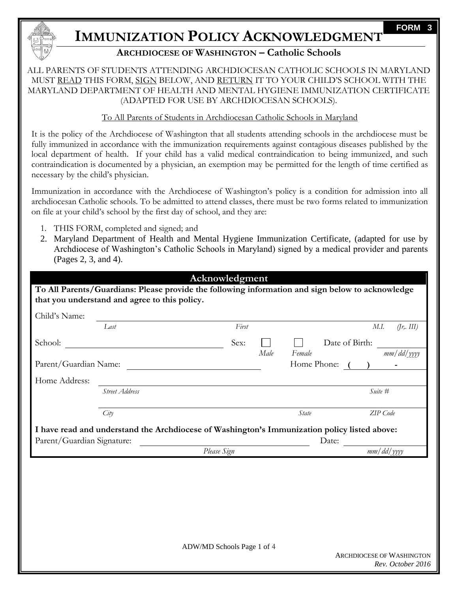

# **IMMUNIZATION POLICY ACKNOWLEDGMENT**

## **ARCHDIOCESE OF WASHINGTON – Catholic Schools**

### ALL PARENTS OF STUDENTS ATTENDING ARCHDIOCESAN CATHOLIC SCHOOLS IN MARYLAND MUST READ THIS FORM, SIGN BELOW, AND RETURN IT TO YOUR CHILD'S SCHOOL WITH THE MARYLAND DEPARTMENT OF HEALTH AND MENTAL HYGIENE IMMUNIZATION CERTIFICATE (ADAPTED FOR USE BY ARCHDIOCESAN SCHOOLS).

### To All Parents of Students in Archdiocesan Catholic Schools in Maryland

It is the policy of the Archdiocese of Washington that all students attending schools in the archdiocese must be fully immunized in accordance with the immunization requirements against contagious diseases published by the local department of health. If your child has a valid medical contraindication to being immunized, and such contraindication is documented by a physician, an exemption may be permitted for the length of time certified as necessary by the child's physician.

Immunization in accordance with the Archdiocese of Washington's policy is a condition for admission into all archdiocesan Catholic schools. To be admitted to attend classes, there must be two forms related to immunization on file at your child's school by the first day of school, and they are:

- 1. THIS FORM, completed and signed; and
- 2. Maryland Department of Health and Mental Hygiene Immunization Certificate, (adapted for use by Archdiocese of Washington's Catholic Schools in Maryland) signed by a medical provider and parents (Pages 2, 3, and 4).

## **Acknowledgment**

**To All Parents/Guardians: Please provide the following information and sign below to acknowledge that you understand and agree to this policy.**

| Child's Name:              |                                                                                              |             |      |             |                   |
|----------------------------|----------------------------------------------------------------------------------------------|-------------|------|-------------|-------------------|
|                            | Last                                                                                         | First       |      |             | M.I.<br>(jr, III) |
| School:                    |                                                                                              | Sex:        |      |             | Date of Birth:    |
|                            |                                                                                              |             | Male | Female      | mm/dd/yyyy        |
| Parent/Guardian Name:      |                                                                                              |             |      | Home Phone: |                   |
| Home Address:              |                                                                                              |             |      |             |                   |
|                            | Street Address                                                                               |             |      |             | Suite #           |
|                            | City                                                                                         |             |      | State       | ZIP Code          |
|                            |                                                                                              |             |      |             |                   |
|                            | I have read and understand the Archdiocese of Washington's Immunization policy listed above: |             |      |             |                   |
| Parent/Guardian Signature: |                                                                                              |             |      | Date:       |                   |
|                            |                                                                                              | Please Sign |      |             | mm/dd/yyyy        |
|                            |                                                                                              |             |      |             |                   |
|                            |                                                                                              |             |      |             |                   |
|                            |                                                                                              |             |      |             |                   |
|                            |                                                                                              |             |      |             |                   |
|                            |                                                                                              |             |      |             |                   |
|                            |                                                                                              |             |      |             |                   |

**FORM 3**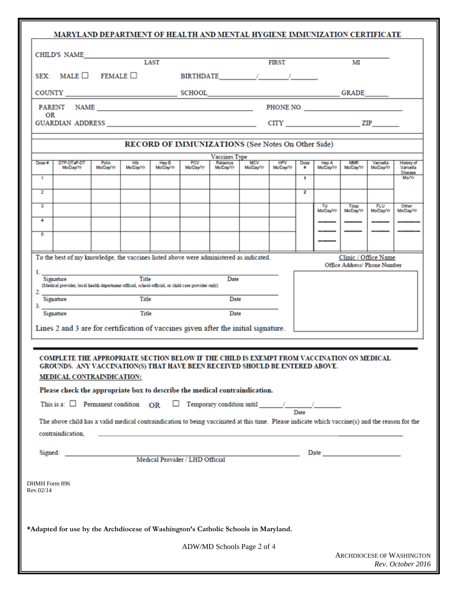|                                       | MARYLAND DEPARTMENT OF HEALTH AND MENTAL HYGIENE IMMUNIZATION CERTIFICATE                                                                                                                                                                                                                                                                                                                                                                                                                                                                                       |                                                   |                  |                                                |                         |                         |           |                    |                           |                               |                                |
|---------------------------------------|-----------------------------------------------------------------------------------------------------------------------------------------------------------------------------------------------------------------------------------------------------------------------------------------------------------------------------------------------------------------------------------------------------------------------------------------------------------------------------------------------------------------------------------------------------------------|---------------------------------------------------|------------------|------------------------------------------------|-------------------------|-------------------------|-----------|--------------------|---------------------------|-------------------------------|--------------------------------|
| CHILD'S NAME                          |                                                                                                                                                                                                                                                                                                                                                                                                                                                                                                                                                                 | LAST                                              |                  |                                                |                         | <b>FIRST</b>            |           |                    | м                         |                               |                                |
| SEX: MALE $\Box$ FEMALE $\Box$        |                                                                                                                                                                                                                                                                                                                                                                                                                                                                                                                                                                 |                                                   |                  | BIRTHDATE / /                                  |                         |                         |           |                    |                           |                               |                                |
|                                       |                                                                                                                                                                                                                                                                                                                                                                                                                                                                                                                                                                 |                                                   |                  |                                                |                         |                         |           |                    |                           |                               |                                |
| OR                                    |                                                                                                                                                                                                                                                                                                                                                                                                                                                                                                                                                                 |                                                   |                  |                                                |                         |                         |           |                    |                           |                               |                                |
|                                       |                                                                                                                                                                                                                                                                                                                                                                                                                                                                                                                                                                 |                                                   |                  |                                                |                         |                         |           |                    |                           |                               |                                |
|                                       |                                                                                                                                                                                                                                                                                                                                                                                                                                                                                                                                                                 | RECORD OF IMMUNIZATIONS (See Notes On Other Side) |                  |                                                |                         |                         |           |                    |                           |                               |                                |
| DTP-DTaP-DT<br>Dose #<br>Mo/Day/Yr    | Polio<br>Hib<br>Mo/Day/Yr<br>Mo/Day/Yr                                                                                                                                                                                                                                                                                                                                                                                                                                                                                                                          | Hep B<br>Mo/Day/Yr                                | PCV<br>Mo/Day/Yr | <b>Vaccines Type</b><br>Rotavirus<br>Mo/Day/Yr | <b>MCV</b><br>Mo/Day/Yr | <b>HPV</b><br>Mo/Day/Yr | Dose<br>۰ | Hep A<br>Mo/Day/Yr | <b>MMR</b><br>Mo/Day/Yr   | Varicella<br><b>Mo/Day/Yr</b> | <b>History of</b><br>Varicella |
| 1                                     |                                                                                                                                                                                                                                                                                                                                                                                                                                                                                                                                                                 |                                                   |                  |                                                |                         |                         | 1         |                    |                           |                               | Disease<br>Mo/Yr               |
| $\overline{2}$                        |                                                                                                                                                                                                                                                                                                                                                                                                                                                                                                                                                                 |                                                   |                  |                                                |                         |                         | 2         |                    |                           |                               |                                |
| з                                     |                                                                                                                                                                                                                                                                                                                                                                                                                                                                                                                                                                 |                                                   |                  |                                                |                         |                         |           | Td<br>Mo/Day/Yr    | Tdap<br>Mo/Day/Yr         | <b>FLU</b><br>Mo/Day/Yr       | Other<br>Mo/Day/Yr             |
| 4                                     |                                                                                                                                                                                                                                                                                                                                                                                                                                                                                                                                                                 |                                                   |                  |                                                |                         |                         |           |                    |                           |                               |                                |
| 5                                     |                                                                                                                                                                                                                                                                                                                                                                                                                                                                                                                                                                 |                                                   |                  |                                                |                         |                         |           |                    |                           |                               |                                |
|                                       | To the best of my knowledge, the vaccines listed above were administered as indicated.                                                                                                                                                                                                                                                                                                                                                                                                                                                                          |                                                   |                  |                                                |                         |                         |           |                    | Clinic / Office Name      |                               |                                |
| $2^{\circ}$<br>Signature<br>Signature | (Medical provider, local health department official, school official, or child care provider only)<br>Title<br>Title<br>Lines 2 and 3 are for certification of vaccines given after the initial signature.                                                                                                                                                                                                                                                                                                                                                      |                                                   |                  | Date<br>Date                                   |                         |                         |           |                    |                           |                               |                                |
| contraindication.                     | COMPLETE THE APPROPRIATE SECTION BELOW IF THE CHILD IS EXEMPT FROM VACCINATION ON MEDICAL<br>GROUNDS. ANY VACCINATION(S) THAT HAVE BEEN RECEIVED SHOULD BE ENTERED ABOVE.<br>MEDICAL CONTRAINDICATION:<br>Please check the appropriate box to describe the medical contraindication.<br>The above child has a valid medical contraindication to being vaccinated at this time. Please indicate which vaccine(s) and the reason for the<br><u> Alexandro de la contrada de la contrada de la contrada de la contrada de la contrada de la contrada de la con</u> |                                                   |                  |                                                |                         |                         |           |                    |                           |                               |                                |
|                                       |                                                                                                                                                                                                                                                                                                                                                                                                                                                                                                                                                                 |                                                   |                  |                                                |                         |                         |           |                    |                           |                               |                                |
| DHMH Form 896<br>Rev.02/14            |                                                                                                                                                                                                                                                                                                                                                                                                                                                                                                                                                                 |                                                   |                  |                                                |                         |                         |           |                    |                           |                               |                                |
|                                       | *Adapted for use by the Archdiocese of Washington's Catholic Schools in Maryland.                                                                                                                                                                                                                                                                                                                                                                                                                                                                               |                                                   |                  |                                                |                         |                         |           |                    |                           |                               |                                |
|                                       |                                                                                                                                                                                                                                                                                                                                                                                                                                                                                                                                                                 |                                                   |                  | ADW/MD Schools Page 2 of 4                     |                         |                         |           |                    |                           |                               |                                |
|                                       |                                                                                                                                                                                                                                                                                                                                                                                                                                                                                                                                                                 |                                                   |                  |                                                |                         |                         |           |                    | ARCHDIOCESE OF WASHINGTON |                               |                                |

*Rev. October 2016*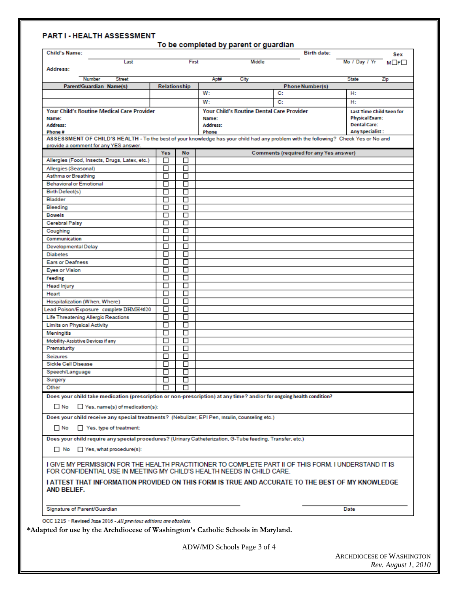### PART I - HEALTH ASSESSMENT

| First<br>Middle<br>Last<br>Address:<br><b>Street</b><br>Number<br>Apt#<br>City<br><b>Phone Number(s)</b><br>Parent/Guardian Name(s)<br>Relationship<br>W:<br>C:<br>W:<br>C:<br><b>Your Child's Routine Medical Care Provider</b><br>Your Child's Routine Dental Care Provider<br>Name:<br>Name:<br>Address:<br>Address:<br>Phone#<br>Phone<br>ASSESSMENT OF CHILD'S HEALTH - To the best of your knowledge has your child had any problem with the following? Check Yes or No and<br>provide a comment for any YES answer.<br>Yes<br><b>No</b><br><b>Comments (required for any Yes answer)</b><br>Allergies (Food, Insects, Drugs, Latex, etc.)<br>□<br>□<br>◻<br>□<br>Allergies (Seasonal)<br>Asthma or Breathing<br>□<br>П<br>帀<br>П<br><b>Behavioral or Emotional</b><br>П<br>Birth Defect(s)<br>□<br>帀<br>П<br>Bladder<br>帀<br>□<br>Bleeding<br>$\overline{\Box}$<br>帀<br><b>Bowels</b><br>□<br>□<br><b>Cerebral Palsy</b><br>帀<br>□<br>Coughing<br>П<br>Communication<br>$\Box$<br>П<br>П<br><b>Developmental Delay</b><br>П<br><b>Diabetes</b><br>□<br>П<br>□<br><b>Ears or Deafness</b><br>П<br><b>Eyes or Vision</b><br>$\Box$<br>П<br>П<br>Feeding<br><b>Head Injury</b><br>□<br>П<br>П<br>□<br>Heart<br>Hospitalization (When, Where)<br>□<br>П<br>П<br>П<br>Lead Poison/Exposure complete DHMH4620<br>Life Threatening Allergic Reactions<br>□<br>□<br>П<br>П<br><b>Limits on Physical Activity</b><br>П<br>Meningitis<br>□<br>П<br>п<br><b>Mobility-Assistive Devices if any</b><br>Prematurity<br>□<br>П<br>П<br>П<br>Seizures<br>Sickle Cell Disease<br>П<br>Speech/Language<br>□<br>ப<br>Surgery<br>□<br>П<br>Other<br>П<br>Does your child take medication (prescription or non-prescription) at any time? and/or for ongoing health condition?<br>$\Box$ Yes, name(s) of medication(s):<br>$\Box$ No<br>Does your child receive any special treatments? (Nebulizer, EPI Pen, Insulin, Counseling etc.)<br>$\Box$ No<br>Yes, type of treatment:<br>Does your child require any special procedures? (Urinary Catheterization, G-Tube feeding, Transfer, etc.)<br>No Yes, what procedure(s):<br>I GIVE MY PERMISSION FOR THE HEALTH PRACTITIONER TO COMPLETE PART II OF THIS FORM. I UNDERSTAND IT IS<br>FOR CONFIDENTIAL USE IN MEETING MY CHILD'S HEALTH NEEDS IN CHILD CARE.<br>I ATTEST THAT INFORMATION PROVIDED ON THIS FORM IS TRUE AND ACCURATE TO THE BEST OF MY KNOWLEDGE<br>AND BELIEF.<br>Signature of Parent/Guardian |                                 | Sex |
|---------------------------------------------------------------------------------------------------------------------------------------------------------------------------------------------------------------------------------------------------------------------------------------------------------------------------------------------------------------------------------------------------------------------------------------------------------------------------------------------------------------------------------------------------------------------------------------------------------------------------------------------------------------------------------------------------------------------------------------------------------------------------------------------------------------------------------------------------------------------------------------------------------------------------------------------------------------------------------------------------------------------------------------------------------------------------------------------------------------------------------------------------------------------------------------------------------------------------------------------------------------------------------------------------------------------------------------------------------------------------------------------------------------------------------------------------------------------------------------------------------------------------------------------------------------------------------------------------------------------------------------------------------------------------------------------------------------------------------------------------------------------------------------------------------------------------------------------------------------------------------------------------------------------------------------------------------------------------------------------------------------------------------------------------------------------------------------------------------------------------------------------------------------------------------------------------------------------------------------------------------------------------------------------------------------------------------------------------------------------------------------------------------------------------------------------------|---------------------------------|-----|
|                                                                                                                                                                                                                                                                                                                                                                                                                                                                                                                                                                                                                                                                                                                                                                                                                                                                                                                                                                                                                                                                                                                                                                                                                                                                                                                                                                                                                                                                                                                                                                                                                                                                                                                                                                                                                                                                                                                                                                                                                                                                                                                                                                                                                                                                                                                                                                                                                                                   | Mo / Day / Yr MOFO              |     |
|                                                                                                                                                                                                                                                                                                                                                                                                                                                                                                                                                                                                                                                                                                                                                                                                                                                                                                                                                                                                                                                                                                                                                                                                                                                                                                                                                                                                                                                                                                                                                                                                                                                                                                                                                                                                                                                                                                                                                                                                                                                                                                                                                                                                                                                                                                                                                                                                                                                   | <b>State</b>                    | Zip |
|                                                                                                                                                                                                                                                                                                                                                                                                                                                                                                                                                                                                                                                                                                                                                                                                                                                                                                                                                                                                                                                                                                                                                                                                                                                                                                                                                                                                                                                                                                                                                                                                                                                                                                                                                                                                                                                                                                                                                                                                                                                                                                                                                                                                                                                                                                                                                                                                                                                   |                                 |     |
|                                                                                                                                                                                                                                                                                                                                                                                                                                                                                                                                                                                                                                                                                                                                                                                                                                                                                                                                                                                                                                                                                                                                                                                                                                                                                                                                                                                                                                                                                                                                                                                                                                                                                                                                                                                                                                                                                                                                                                                                                                                                                                                                                                                                                                                                                                                                                                                                                                                   | H:                              |     |
|                                                                                                                                                                                                                                                                                                                                                                                                                                                                                                                                                                                                                                                                                                                                                                                                                                                                                                                                                                                                                                                                                                                                                                                                                                                                                                                                                                                                                                                                                                                                                                                                                                                                                                                                                                                                                                                                                                                                                                                                                                                                                                                                                                                                                                                                                                                                                                                                                                                   | H:                              |     |
|                                                                                                                                                                                                                                                                                                                                                                                                                                                                                                                                                                                                                                                                                                                                                                                                                                                                                                                                                                                                                                                                                                                                                                                                                                                                                                                                                                                                                                                                                                                                                                                                                                                                                                                                                                                                                                                                                                                                                                                                                                                                                                                                                                                                                                                                                                                                                                                                                                                   | <b>Last Time Child Seen for</b> |     |
|                                                                                                                                                                                                                                                                                                                                                                                                                                                                                                                                                                                                                                                                                                                                                                                                                                                                                                                                                                                                                                                                                                                                                                                                                                                                                                                                                                                                                                                                                                                                                                                                                                                                                                                                                                                                                                                                                                                                                                                                                                                                                                                                                                                                                                                                                                                                                                                                                                                   | <b>Physical Exam:</b>           |     |
|                                                                                                                                                                                                                                                                                                                                                                                                                                                                                                                                                                                                                                                                                                                                                                                                                                                                                                                                                                                                                                                                                                                                                                                                                                                                                                                                                                                                                                                                                                                                                                                                                                                                                                                                                                                                                                                                                                                                                                                                                                                                                                                                                                                                                                                                                                                                                                                                                                                   | <b>Dental Care:</b>             |     |
|                                                                                                                                                                                                                                                                                                                                                                                                                                                                                                                                                                                                                                                                                                                                                                                                                                                                                                                                                                                                                                                                                                                                                                                                                                                                                                                                                                                                                                                                                                                                                                                                                                                                                                                                                                                                                                                                                                                                                                                                                                                                                                                                                                                                                                                                                                                                                                                                                                                   | <b>Any Specialist:</b>          |     |
|                                                                                                                                                                                                                                                                                                                                                                                                                                                                                                                                                                                                                                                                                                                                                                                                                                                                                                                                                                                                                                                                                                                                                                                                                                                                                                                                                                                                                                                                                                                                                                                                                                                                                                                                                                                                                                                                                                                                                                                                                                                                                                                                                                                                                                                                                                                                                                                                                                                   |                                 |     |
|                                                                                                                                                                                                                                                                                                                                                                                                                                                                                                                                                                                                                                                                                                                                                                                                                                                                                                                                                                                                                                                                                                                                                                                                                                                                                                                                                                                                                                                                                                                                                                                                                                                                                                                                                                                                                                                                                                                                                                                                                                                                                                                                                                                                                                                                                                                                                                                                                                                   |                                 |     |
|                                                                                                                                                                                                                                                                                                                                                                                                                                                                                                                                                                                                                                                                                                                                                                                                                                                                                                                                                                                                                                                                                                                                                                                                                                                                                                                                                                                                                                                                                                                                                                                                                                                                                                                                                                                                                                                                                                                                                                                                                                                                                                                                                                                                                                                                                                                                                                                                                                                   |                                 |     |
|                                                                                                                                                                                                                                                                                                                                                                                                                                                                                                                                                                                                                                                                                                                                                                                                                                                                                                                                                                                                                                                                                                                                                                                                                                                                                                                                                                                                                                                                                                                                                                                                                                                                                                                                                                                                                                                                                                                                                                                                                                                                                                                                                                                                                                                                                                                                                                                                                                                   |                                 |     |
|                                                                                                                                                                                                                                                                                                                                                                                                                                                                                                                                                                                                                                                                                                                                                                                                                                                                                                                                                                                                                                                                                                                                                                                                                                                                                                                                                                                                                                                                                                                                                                                                                                                                                                                                                                                                                                                                                                                                                                                                                                                                                                                                                                                                                                                                                                                                                                                                                                                   |                                 |     |
|                                                                                                                                                                                                                                                                                                                                                                                                                                                                                                                                                                                                                                                                                                                                                                                                                                                                                                                                                                                                                                                                                                                                                                                                                                                                                                                                                                                                                                                                                                                                                                                                                                                                                                                                                                                                                                                                                                                                                                                                                                                                                                                                                                                                                                                                                                                                                                                                                                                   |                                 |     |
|                                                                                                                                                                                                                                                                                                                                                                                                                                                                                                                                                                                                                                                                                                                                                                                                                                                                                                                                                                                                                                                                                                                                                                                                                                                                                                                                                                                                                                                                                                                                                                                                                                                                                                                                                                                                                                                                                                                                                                                                                                                                                                                                                                                                                                                                                                                                                                                                                                                   |                                 |     |
|                                                                                                                                                                                                                                                                                                                                                                                                                                                                                                                                                                                                                                                                                                                                                                                                                                                                                                                                                                                                                                                                                                                                                                                                                                                                                                                                                                                                                                                                                                                                                                                                                                                                                                                                                                                                                                                                                                                                                                                                                                                                                                                                                                                                                                                                                                                                                                                                                                                   |                                 |     |
|                                                                                                                                                                                                                                                                                                                                                                                                                                                                                                                                                                                                                                                                                                                                                                                                                                                                                                                                                                                                                                                                                                                                                                                                                                                                                                                                                                                                                                                                                                                                                                                                                                                                                                                                                                                                                                                                                                                                                                                                                                                                                                                                                                                                                                                                                                                                                                                                                                                   |                                 |     |
|                                                                                                                                                                                                                                                                                                                                                                                                                                                                                                                                                                                                                                                                                                                                                                                                                                                                                                                                                                                                                                                                                                                                                                                                                                                                                                                                                                                                                                                                                                                                                                                                                                                                                                                                                                                                                                                                                                                                                                                                                                                                                                                                                                                                                                                                                                                                                                                                                                                   |                                 |     |
|                                                                                                                                                                                                                                                                                                                                                                                                                                                                                                                                                                                                                                                                                                                                                                                                                                                                                                                                                                                                                                                                                                                                                                                                                                                                                                                                                                                                                                                                                                                                                                                                                                                                                                                                                                                                                                                                                                                                                                                                                                                                                                                                                                                                                                                                                                                                                                                                                                                   |                                 |     |
|                                                                                                                                                                                                                                                                                                                                                                                                                                                                                                                                                                                                                                                                                                                                                                                                                                                                                                                                                                                                                                                                                                                                                                                                                                                                                                                                                                                                                                                                                                                                                                                                                                                                                                                                                                                                                                                                                                                                                                                                                                                                                                                                                                                                                                                                                                                                                                                                                                                   |                                 |     |
|                                                                                                                                                                                                                                                                                                                                                                                                                                                                                                                                                                                                                                                                                                                                                                                                                                                                                                                                                                                                                                                                                                                                                                                                                                                                                                                                                                                                                                                                                                                                                                                                                                                                                                                                                                                                                                                                                                                                                                                                                                                                                                                                                                                                                                                                                                                                                                                                                                                   |                                 |     |
|                                                                                                                                                                                                                                                                                                                                                                                                                                                                                                                                                                                                                                                                                                                                                                                                                                                                                                                                                                                                                                                                                                                                                                                                                                                                                                                                                                                                                                                                                                                                                                                                                                                                                                                                                                                                                                                                                                                                                                                                                                                                                                                                                                                                                                                                                                                                                                                                                                                   |                                 |     |
|                                                                                                                                                                                                                                                                                                                                                                                                                                                                                                                                                                                                                                                                                                                                                                                                                                                                                                                                                                                                                                                                                                                                                                                                                                                                                                                                                                                                                                                                                                                                                                                                                                                                                                                                                                                                                                                                                                                                                                                                                                                                                                                                                                                                                                                                                                                                                                                                                                                   |                                 |     |
|                                                                                                                                                                                                                                                                                                                                                                                                                                                                                                                                                                                                                                                                                                                                                                                                                                                                                                                                                                                                                                                                                                                                                                                                                                                                                                                                                                                                                                                                                                                                                                                                                                                                                                                                                                                                                                                                                                                                                                                                                                                                                                                                                                                                                                                                                                                                                                                                                                                   |                                 |     |
|                                                                                                                                                                                                                                                                                                                                                                                                                                                                                                                                                                                                                                                                                                                                                                                                                                                                                                                                                                                                                                                                                                                                                                                                                                                                                                                                                                                                                                                                                                                                                                                                                                                                                                                                                                                                                                                                                                                                                                                                                                                                                                                                                                                                                                                                                                                                                                                                                                                   |                                 |     |
|                                                                                                                                                                                                                                                                                                                                                                                                                                                                                                                                                                                                                                                                                                                                                                                                                                                                                                                                                                                                                                                                                                                                                                                                                                                                                                                                                                                                                                                                                                                                                                                                                                                                                                                                                                                                                                                                                                                                                                                                                                                                                                                                                                                                                                                                                                                                                                                                                                                   |                                 |     |
|                                                                                                                                                                                                                                                                                                                                                                                                                                                                                                                                                                                                                                                                                                                                                                                                                                                                                                                                                                                                                                                                                                                                                                                                                                                                                                                                                                                                                                                                                                                                                                                                                                                                                                                                                                                                                                                                                                                                                                                                                                                                                                                                                                                                                                                                                                                                                                                                                                                   |                                 |     |
|                                                                                                                                                                                                                                                                                                                                                                                                                                                                                                                                                                                                                                                                                                                                                                                                                                                                                                                                                                                                                                                                                                                                                                                                                                                                                                                                                                                                                                                                                                                                                                                                                                                                                                                                                                                                                                                                                                                                                                                                                                                                                                                                                                                                                                                                                                                                                                                                                                                   |                                 |     |
|                                                                                                                                                                                                                                                                                                                                                                                                                                                                                                                                                                                                                                                                                                                                                                                                                                                                                                                                                                                                                                                                                                                                                                                                                                                                                                                                                                                                                                                                                                                                                                                                                                                                                                                                                                                                                                                                                                                                                                                                                                                                                                                                                                                                                                                                                                                                                                                                                                                   |                                 |     |
|                                                                                                                                                                                                                                                                                                                                                                                                                                                                                                                                                                                                                                                                                                                                                                                                                                                                                                                                                                                                                                                                                                                                                                                                                                                                                                                                                                                                                                                                                                                                                                                                                                                                                                                                                                                                                                                                                                                                                                                                                                                                                                                                                                                                                                                                                                                                                                                                                                                   |                                 |     |
|                                                                                                                                                                                                                                                                                                                                                                                                                                                                                                                                                                                                                                                                                                                                                                                                                                                                                                                                                                                                                                                                                                                                                                                                                                                                                                                                                                                                                                                                                                                                                                                                                                                                                                                                                                                                                                                                                                                                                                                                                                                                                                                                                                                                                                                                                                                                                                                                                                                   |                                 |     |
|                                                                                                                                                                                                                                                                                                                                                                                                                                                                                                                                                                                                                                                                                                                                                                                                                                                                                                                                                                                                                                                                                                                                                                                                                                                                                                                                                                                                                                                                                                                                                                                                                                                                                                                                                                                                                                                                                                                                                                                                                                                                                                                                                                                                                                                                                                                                                                                                                                                   |                                 |     |
|                                                                                                                                                                                                                                                                                                                                                                                                                                                                                                                                                                                                                                                                                                                                                                                                                                                                                                                                                                                                                                                                                                                                                                                                                                                                                                                                                                                                                                                                                                                                                                                                                                                                                                                                                                                                                                                                                                                                                                                                                                                                                                                                                                                                                                                                                                                                                                                                                                                   |                                 |     |
|                                                                                                                                                                                                                                                                                                                                                                                                                                                                                                                                                                                                                                                                                                                                                                                                                                                                                                                                                                                                                                                                                                                                                                                                                                                                                                                                                                                                                                                                                                                                                                                                                                                                                                                                                                                                                                                                                                                                                                                                                                                                                                                                                                                                                                                                                                                                                                                                                                                   |                                 |     |
|                                                                                                                                                                                                                                                                                                                                                                                                                                                                                                                                                                                                                                                                                                                                                                                                                                                                                                                                                                                                                                                                                                                                                                                                                                                                                                                                                                                                                                                                                                                                                                                                                                                                                                                                                                                                                                                                                                                                                                                                                                                                                                                                                                                                                                                                                                                                                                                                                                                   |                                 |     |
|                                                                                                                                                                                                                                                                                                                                                                                                                                                                                                                                                                                                                                                                                                                                                                                                                                                                                                                                                                                                                                                                                                                                                                                                                                                                                                                                                                                                                                                                                                                                                                                                                                                                                                                                                                                                                                                                                                                                                                                                                                                                                                                                                                                                                                                                                                                                                                                                                                                   |                                 |     |
|                                                                                                                                                                                                                                                                                                                                                                                                                                                                                                                                                                                                                                                                                                                                                                                                                                                                                                                                                                                                                                                                                                                                                                                                                                                                                                                                                                                                                                                                                                                                                                                                                                                                                                                                                                                                                                                                                                                                                                                                                                                                                                                                                                                                                                                                                                                                                                                                                                                   |                                 |     |
|                                                                                                                                                                                                                                                                                                                                                                                                                                                                                                                                                                                                                                                                                                                                                                                                                                                                                                                                                                                                                                                                                                                                                                                                                                                                                                                                                                                                                                                                                                                                                                                                                                                                                                                                                                                                                                                                                                                                                                                                                                                                                                                                                                                                                                                                                                                                                                                                                                                   |                                 |     |
|                                                                                                                                                                                                                                                                                                                                                                                                                                                                                                                                                                                                                                                                                                                                                                                                                                                                                                                                                                                                                                                                                                                                                                                                                                                                                                                                                                                                                                                                                                                                                                                                                                                                                                                                                                                                                                                                                                                                                                                                                                                                                                                                                                                                                                                                                                                                                                                                                                                   |                                 |     |
|                                                                                                                                                                                                                                                                                                                                                                                                                                                                                                                                                                                                                                                                                                                                                                                                                                                                                                                                                                                                                                                                                                                                                                                                                                                                                                                                                                                                                                                                                                                                                                                                                                                                                                                                                                                                                                                                                                                                                                                                                                                                                                                                                                                                                                                                                                                                                                                                                                                   |                                 |     |
|                                                                                                                                                                                                                                                                                                                                                                                                                                                                                                                                                                                                                                                                                                                                                                                                                                                                                                                                                                                                                                                                                                                                                                                                                                                                                                                                                                                                                                                                                                                                                                                                                                                                                                                                                                                                                                                                                                                                                                                                                                                                                                                                                                                                                                                                                                                                                                                                                                                   |                                 |     |
|                                                                                                                                                                                                                                                                                                                                                                                                                                                                                                                                                                                                                                                                                                                                                                                                                                                                                                                                                                                                                                                                                                                                                                                                                                                                                                                                                                                                                                                                                                                                                                                                                                                                                                                                                                                                                                                                                                                                                                                                                                                                                                                                                                                                                                                                                                                                                                                                                                                   |                                 |     |
|                                                                                                                                                                                                                                                                                                                                                                                                                                                                                                                                                                                                                                                                                                                                                                                                                                                                                                                                                                                                                                                                                                                                                                                                                                                                                                                                                                                                                                                                                                                                                                                                                                                                                                                                                                                                                                                                                                                                                                                                                                                                                                                                                                                                                                                                                                                                                                                                                                                   |                                 |     |
|                                                                                                                                                                                                                                                                                                                                                                                                                                                                                                                                                                                                                                                                                                                                                                                                                                                                                                                                                                                                                                                                                                                                                                                                                                                                                                                                                                                                                                                                                                                                                                                                                                                                                                                                                                                                                                                                                                                                                                                                                                                                                                                                                                                                                                                                                                                                                                                                                                                   |                                 |     |
|                                                                                                                                                                                                                                                                                                                                                                                                                                                                                                                                                                                                                                                                                                                                                                                                                                                                                                                                                                                                                                                                                                                                                                                                                                                                                                                                                                                                                                                                                                                                                                                                                                                                                                                                                                                                                                                                                                                                                                                                                                                                                                                                                                                                                                                                                                                                                                                                                                                   |                                 |     |
|                                                                                                                                                                                                                                                                                                                                                                                                                                                                                                                                                                                                                                                                                                                                                                                                                                                                                                                                                                                                                                                                                                                                                                                                                                                                                                                                                                                                                                                                                                                                                                                                                                                                                                                                                                                                                                                                                                                                                                                                                                                                                                                                                                                                                                                                                                                                                                                                                                                   |                                 |     |
|                                                                                                                                                                                                                                                                                                                                                                                                                                                                                                                                                                                                                                                                                                                                                                                                                                                                                                                                                                                                                                                                                                                                                                                                                                                                                                                                                                                                                                                                                                                                                                                                                                                                                                                                                                                                                                                                                                                                                                                                                                                                                                                                                                                                                                                                                                                                                                                                                                                   |                                 |     |
|                                                                                                                                                                                                                                                                                                                                                                                                                                                                                                                                                                                                                                                                                                                                                                                                                                                                                                                                                                                                                                                                                                                                                                                                                                                                                                                                                                                                                                                                                                                                                                                                                                                                                                                                                                                                                                                                                                                                                                                                                                                                                                                                                                                                                                                                                                                                                                                                                                                   |                                 |     |
|                                                                                                                                                                                                                                                                                                                                                                                                                                                                                                                                                                                                                                                                                                                                                                                                                                                                                                                                                                                                                                                                                                                                                                                                                                                                                                                                                                                                                                                                                                                                                                                                                                                                                                                                                                                                                                                                                                                                                                                                                                                                                                                                                                                                                                                                                                                                                                                                                                                   |                                 |     |
|                                                                                                                                                                                                                                                                                                                                                                                                                                                                                                                                                                                                                                                                                                                                                                                                                                                                                                                                                                                                                                                                                                                                                                                                                                                                                                                                                                                                                                                                                                                                                                                                                                                                                                                                                                                                                                                                                                                                                                                                                                                                                                                                                                                                                                                                                                                                                                                                                                                   |                                 |     |
|                                                                                                                                                                                                                                                                                                                                                                                                                                                                                                                                                                                                                                                                                                                                                                                                                                                                                                                                                                                                                                                                                                                                                                                                                                                                                                                                                                                                                                                                                                                                                                                                                                                                                                                                                                                                                                                                                                                                                                                                                                                                                                                                                                                                                                                                                                                                                                                                                                                   |                                 |     |
|                                                                                                                                                                                                                                                                                                                                                                                                                                                                                                                                                                                                                                                                                                                                                                                                                                                                                                                                                                                                                                                                                                                                                                                                                                                                                                                                                                                                                                                                                                                                                                                                                                                                                                                                                                                                                                                                                                                                                                                                                                                                                                                                                                                                                                                                                                                                                                                                                                                   |                                 |     |
|                                                                                                                                                                                                                                                                                                                                                                                                                                                                                                                                                                                                                                                                                                                                                                                                                                                                                                                                                                                                                                                                                                                                                                                                                                                                                                                                                                                                                                                                                                                                                                                                                                                                                                                                                                                                                                                                                                                                                                                                                                                                                                                                                                                                                                                                                                                                                                                                                                                   | Date                            |     |
|                                                                                                                                                                                                                                                                                                                                                                                                                                                                                                                                                                                                                                                                                                                                                                                                                                                                                                                                                                                                                                                                                                                                                                                                                                                                                                                                                                                                                                                                                                                                                                                                                                                                                                                                                                                                                                                                                                                                                                                                                                                                                                                                                                                                                                                                                                                                                                                                                                                   |                                 |     |
| OCC 1215 - Revised June 2016 - All previous editions are obsolete.                                                                                                                                                                                                                                                                                                                                                                                                                                                                                                                                                                                                                                                                                                                                                                                                                                                                                                                                                                                                                                                                                                                                                                                                                                                                                                                                                                                                                                                                                                                                                                                                                                                                                                                                                                                                                                                                                                                                                                                                                                                                                                                                                                                                                                                                                                                                                                                |                                 |     |
| *Adapted for use by the Archdiocese of Washington's Catholic Schools in Maryland.                                                                                                                                                                                                                                                                                                                                                                                                                                                                                                                                                                                                                                                                                                                                                                                                                                                                                                                                                                                                                                                                                                                                                                                                                                                                                                                                                                                                                                                                                                                                                                                                                                                                                                                                                                                                                                                                                                                                                                                                                                                                                                                                                                                                                                                                                                                                                                 |                                 |     |

ARCHDIOCESE OF WASHINGTON *Rev. August 1, 2010*